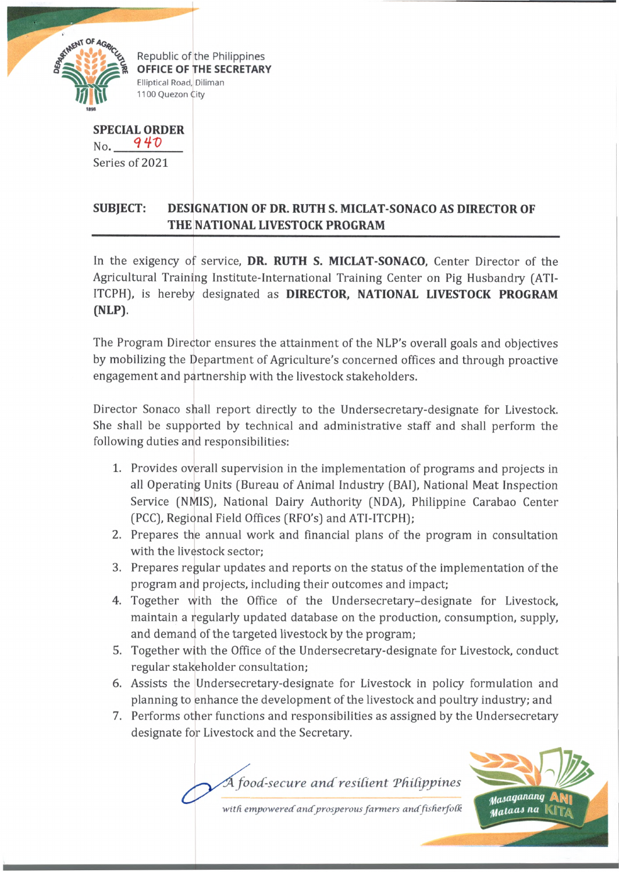

OFFICE OF THE SECRETARY Elliptical Road, Diliman 1100 Quezon City

**SPECIAL ORDER** 94D No. Series of 2021

## **SUBJECT: DESIGNATION OF DR. RUTH S. MICLAT-SONACO AS DIRECTOR OF THE NATIONAL LIVESTOCK PROGRAM**

In the exigency of service, **DR. RUTH S. MICLAT-SONACO,** Center Director of the Agricultural Training Institute-International Training Center on Pig Husbandry (ATI-ITCPH), is hereby designated as **DIRECTOR, NATIONAL LIVESTOCK PROGRAM (NLP).**

The Program Director ensures the attainment of the NLP's overall goals and objectives by mobilizing the Department of Agriculture's concerned offices and through proactive engagement and partnership with the livestock stakeholders.

Director Sonaco shall report directly to the Undersecretary-designate for Livestock. She shall be supported by technical and administrative staff and shall perform the following duties and responsibilities:

- 1. Provides overall supervision in the implementation of programs and projects in all Operating Units (Bureau of Animal Industry (BAI), National Meat Inspection Service (NMIS), National Dairy Authority (NDA), Philippine Carabao Center (PCC), Regional Field Offices (RFO's) and ATI-ITCPH);
- 2. Prepares the annual work and financial plans of the program in consultation with the livestock sector;
- 3. Prepares regular updates and reports on the status of the implementation of the program and projects, including their outcomes and impact;
- 4. Together with the Office of the Undersecretary-designate for Livestock, maintain a regularly updated database on the production, consumption, supply, and demand of the targeted livestock by the program;
- 5. Together with the Office of the Undersecretary-designate for Livestock, conduct regular stakeholder consultation;
- 6. Assists the Undersecretary-designate for Livestock in policy formulation and planning to enhance the development of the livestock and poultry industry; and
- 7. Performs other functions and responsibilities as assigned by the Undersecretary designate for Livestock and the Secretary.

 $\widetilde{A}$  food-secure and resilient Philippines



with empowered and prosperous farmers and fisherfolk